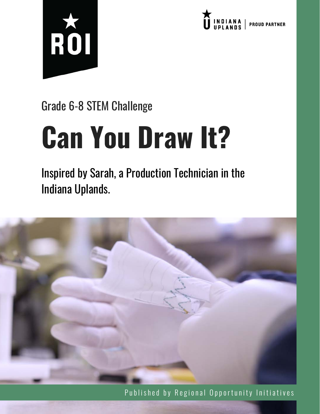



### Grade 6-8 STEM Challenge

# **Can You Draw It?**

Inspired by Sarah, a Production Technician in the Indiana Uplands.



Published by Regional Opportunity Initiatives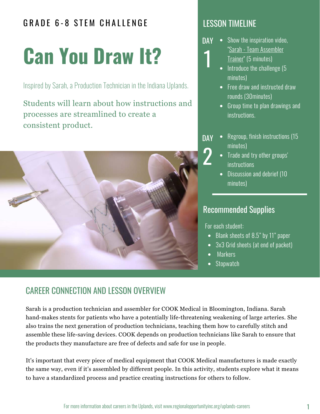#### GRADE 6-8 STEM CHALLENGE RESSON TIMELINE

## **Can You Draw It?**

Inspired by Sarah, a Production Technician in the Indiana Uplands.

Students will learn about how instructions and processes are streamlined to create a consistent product.



- Show the inspiration video, ["Sarah - Team Assembler](http://www.regionalopportunityinc.org/sarah/) Trainer" (5 minutes) **DAY** 1
	- $\bullet$  Introduce the challenge (5 minutes)
	- Free draw and instructed draw rounds (30minutes)
	- Group time to plan drawings and instructions.
- Regroup, finish instructions (15 minutes) **DAY** 2
	- Trade and try other groups' **instructions**
	- Discussion and debrief (10 minutes)

#### Recommended Supplies

For each student:

- Blank sheets of 8.5" by 11" paper
- 3x3 Grid sheets (at end of packet)
- Markers
- Stopwatch

#### CAREER CONNECTION AND LESSON OVERVIEW

Sarah is a production technician and assembler for COOK Medical in Bloomington, Indiana. Sarah hand-makes stents for patients who have a potentially life-threatening weakening of large arteries. She also trains the next generation of production technicians, teaching them how to carefully stitch and assemble these life-saving devices. COOK depends on production technicians like Sarah to ensure that the products they manufacture are free of defects and safe for use in people.

It's important that every piece of medical equipment that COOK Medical manufactures is made exactly the same way, even if it's assembled by different people. In this activity, students explore what it means to have a standardized process and practice creating instructions for others to follow.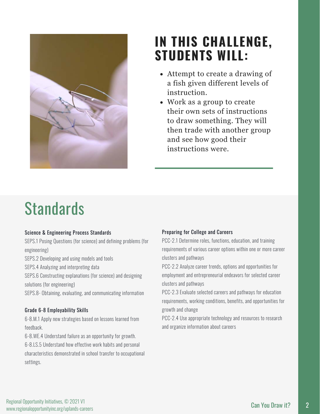

### **IN THIS CHALLENGE, STUDENTS WILL:**

- Attempt to create a drawing of a fish given different levels of instruction.
- Work as a group to create their own sets of instructions to draw something. They will then trade with another group and see how good their instructions were.

### **Standards**

#### Science & Engineering Process Standards

SEPS.1 Posing Questions (for science) and defining problems (for engineering)

SEPS.2 Developing and using models and tools

SEPS.4 Analyzing and interpreting data

SEPS.6 Constructing explanations (for science) and designing solutions (for engineering)

SEPS.8- Obtaining, evaluating, and communicating information

#### Grade 6-8 Employability Skills

6-8.M.1 Apply new strategies based on lessons learned from feedback.

6-8.WE.4 Understand failure as an opportunity for growth. 6-8.LS.5 Understand how effective work habits and personal characteristics demonstrated in school transfer to occupational settings.

#### Preparing for College and Careers

PCC-2.1 Determine roles, functions, education, and training requirements of various career options within one or more career clusters and pathways

PCC-2.2 Analyze career trends, options and opportunities for employment and entrepreneurial endeavors for selected career clusters and pathways

PCC-2.3 Evaluate selected careers and pathways for education requirements, working conditions, benefits, and opportunities for growth and change

PCC-2.4 Use appropriate technology and resources to research and organize information about careers

2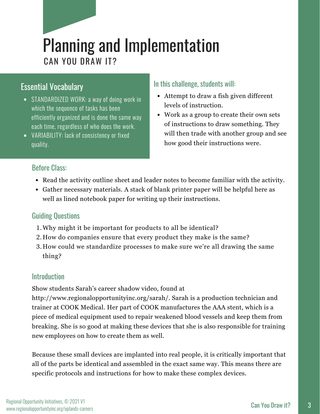### Planning and Implementation CAN YOU DRAW IT?

#### Essential Vocabulary

- STANDARDIZED WORK: a way of doing work in which the sequence of tasks has been efficiently organized and is done the same way each time, regardless of who does the work.
- VARIABILITY: lack of consistency or fixed quality.

#### In this challenge, students will:

- Attempt to draw a fish given different levels of instruction.
- Work as a group to create their own sets of instructions to draw something. They will then trade with another group and see how good their instructions were.

#### Before Class:

- Read the activity outline sheet and leader notes to become familiar with the activity.
- Gather necessary materials. A stack of blank printer paper will be helpful here as well as lined notebook paper for writing up their instructions.

#### Guiding Questions

- Why might it be important for products to all be identical? 1.
- How do companies ensure that every product they make is the same? 2.
- How could we standardize processes to make sure we're all drawing the same 3. thing?

#### Introduction

Show students Sarah's career shadow video, found at

http://www.regionalopportunityinc.org/sarah/. Sarah is a production technician and trainer at COOK Medical. Her part of COOK manufactures the AAA stent, which is a piece of medical equipment used to repair weakened blood vessels and keep them from breaking. She is so good at making these devices that she is also responsible for training new employees on how to create them as well.

Because these small devices are implanted into real people, it is critically important that all of the parts be identical and assembled in the exact same way. This means there are specific protocols and instructions for how to make these complex devices.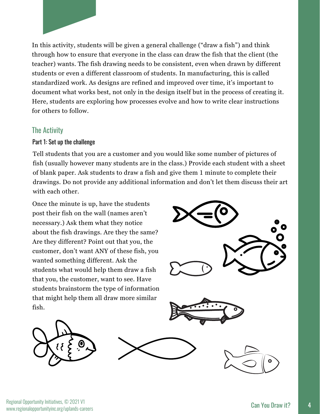

In this activity, students will be given a general challenge ("draw a fish") and think through how to ensure that everyone in the class can draw the fish that the client (the teacher) wants. The fish drawing needs to be consistent, even when drawn by different students or even a different classroom of students. In manufacturing, this is called standardized work. As designs are refined and improved over time, it's important to document what works best, not only in the design itself but in the process of creating it. Here, students are exploring how processes evolve and how to write clear instructions for others to follow.

#### The Activity

#### Part 1: Set up the challenge

Tell students that you are a customer and you would like some number of pictures of fish (usually however many students are in the class.) Provide each student with a sheet of blank paper. Ask students to draw a fish and give them 1 minute to complete their drawings. Do not provide any additional information and don't let them discuss their art with each other.

Once the minute is up, have the students post their fish on the wall (names aren't necessary.) Ask them what they notice about the fish drawings. Are they the same? Are they different? Point out that you, the customer, don't want ANY of these fish, you wanted something different. Ask the students what would help them draw a fish that you, the customer, want to see. Have students brainstorm the type of information that might help them all draw more similar fish.





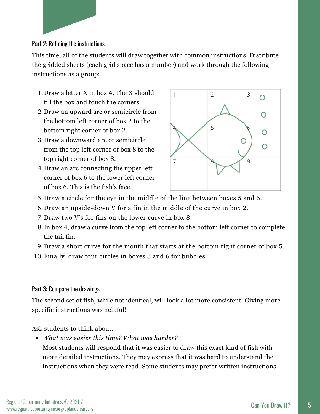

#### Part 2: Refining the instructions

This time, all of the students will draw together with common instructions. Distribute the gridded sheets (each grid space has a number) and work through the following instructions as a group:

- 1. Draw a letter X in box 4. The X should fill the box and touch the corners.
- 2. Draw an upward arc or semicircle from the bottom left corner of box 2 to the bottom right corner of box 2.
- Draw a downward arc or semicircle 3. from the top left corner of box 8 to the top right corner of box 8.
- 2. Draw an arc connecting the upper left 4. corner of box 6 to the lower left corner of box 6. This is the fish's face.



- Draw a circle for the eye in the middle of the line between boxes 5 and 6. 5.
- 6. Draw an upside-down V for a fin in the middle of the curve in box 2.  $\,$
- 7. Draw two V's for fins on the lower curve in box 8.
- 8. In box 4, draw a curve from the top left corner to the bottom left corner to complete the tail fin.
- Draw a short curve for the mouth that starts at the bottom right corner of box 5. 9.
- 10. Finally, draw four circles in boxes 3 and 6 for bubbles.

#### Part 3: Compare the drawings

The second set of fish, while not identical, will look a lot more consistent. Giving more specific instructions was helpful!

Ask students to think about:

*What was easier this time? What was harder?*

Most students will respond that it was easier to draw this exact kind of fish with more detailed instructions. They may express that it was hard to understand the instructions when they were read. Some students may prefer written instructions.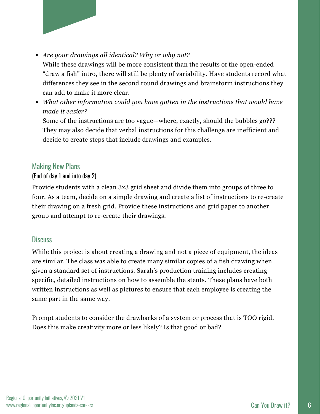

*What other information could you have gotten in the instructions that would have made it easier?*

Some of the instructions are too vague—where, exactly, should the bubbles go??? They may also decide that verbal instructions for this challenge are inefficient and decide to create steps that include drawings and examples.

#### Making New Plans

#### (End of day 1 and into day 2)

Provide students with a clean 3x3 grid sheet and divide them into groups of three to four. As a team, decide on a simple drawing and create a list of instructions to re-create their drawing on a fresh grid. Provide these instructions and grid paper to another group and attempt to re-create their drawings.

#### **Discuss**

While this project is about creating a drawing and not a piece of equipment, the ideas are similar. The class was able to create many similar copies of a fish drawing when given a standard set of instructions. Sarah's production training includes creating specific, detailed instructions on how to assemble the stents. These plans have both written instructions as well as pictures to ensure that each employee is creating the same part in the same way.

Prompt students to consider the drawbacks of a system or process that is TOO rigid. Does this make creativity more or less likely? Is that good or bad?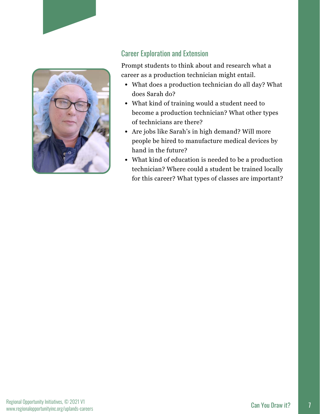

#### Career Exploration and Extension

Prompt students to think about and research what a career as a production technician might entail.

- What does a production technician do all day? What does Sarah do?
- What kind of training would a student need to become a production technician? What other types of technicians are there?
- Are jobs like Sarah's in high demand? Will more people be hired to manufacture medical devices by hand in the future?
- What kind of education is needed to be a production technician? Where could a student be trained locally for this career? What types of classes are important?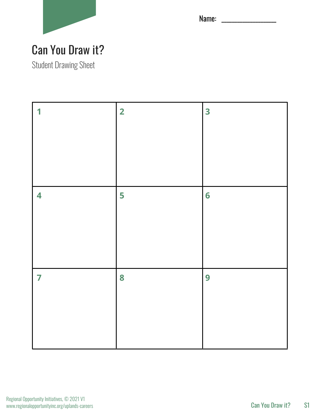

Name: \_\_\_\_\_\_\_\_\_\_\_\_\_\_\_\_\_\_\_\_\_

### Can You Draw it?

Student Drawing Sheet

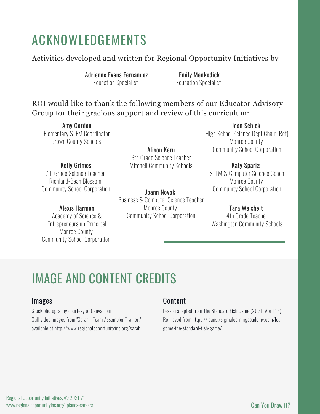### ACKNOWLEDGEMENTS

#### Activities developed and written for Regional Opportunity Initiatives by

Adrienne Evans Fernandez Education Specialist

Emily Menkedick Education Specialist

#### ROI would like to thank the following members of our Educator Advisory Group for their gracious support and review of this curriculum:

Amy Gordon Elementary STEM Coordinator Brown County Schools

Kelly Grimes 7th Grade Science Teacher Richland-Bean Blossom Community School Corporation

#### Alexis Harmon

Academy of Science & Entrepreneurship Principal Monroe County Community School Corporation

Alison Kern 6th Grade Science Teacher Mitchell Community Schools

Joann Novak Business & Computer Science Teacher Monroe County Community School Corporation

Jean Schick High School Science Dept Chair (Ret) Monroe County Community School Corporation

#### Katy Sparks

STEM & Computer Science Coach Monroe County Community School Corporation

#### Tara Weisheit

4th Grade Teacher Washington Community Schools

### IMAGE AND CONTENT CREDITS

#### Images

Stock photography courtesy of Canva.com Still video images from "[Sarah - Team Assembler Trainer](http://www.regionalopportunityinc.org/sarah/)," available at http://www.regionalopportunityinc.org/sarah

#### Content

Lesson adapted from The Standard Fish Game (2021, April 15). Retrieved from https://leansixsigmalearningacademy.com/leangame-the-standard-fish-game/